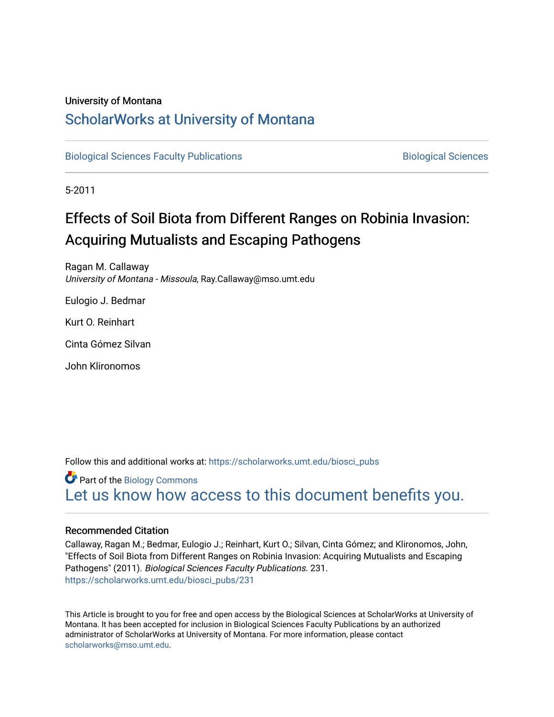## University of Montana

## [ScholarWorks at University of Montana](https://scholarworks.umt.edu/)

[Biological Sciences Faculty Publications](https://scholarworks.umt.edu/biosci_pubs) **Biological Sciences** Biological Sciences

5-2011

# Effects of Soil Biota from Different Ranges on Robinia Invasion: Acquiring Mutualists and Escaping Pathogens

Ragan M. Callaway University of Montana - Missoula, Ray.Callaway@mso.umt.edu

Eulogio J. Bedmar

Kurt O. Reinhart

Cinta Gómez Silvan

John Klironomos

Follow this and additional works at: [https://scholarworks.umt.edu/biosci\\_pubs](https://scholarworks.umt.edu/biosci_pubs?utm_source=scholarworks.umt.edu%2Fbiosci_pubs%2F231&utm_medium=PDF&utm_campaign=PDFCoverPages)

Part of the [Biology Commons](http://network.bepress.com/hgg/discipline/41?utm_source=scholarworks.umt.edu%2Fbiosci_pubs%2F231&utm_medium=PDF&utm_campaign=PDFCoverPages)  [Let us know how access to this document benefits you.](https://goo.gl/forms/s2rGfXOLzz71qgsB2) 

### Recommended Citation

Callaway, Ragan M.; Bedmar, Eulogio J.; Reinhart, Kurt O.; Silvan, Cinta Gómez; and Klironomos, John, "Effects of Soil Biota from Different Ranges on Robinia Invasion: Acquiring Mutualists and Escaping Pathogens" (2011). Biological Sciences Faculty Publications. 231. [https://scholarworks.umt.edu/biosci\\_pubs/231](https://scholarworks.umt.edu/biosci_pubs/231?utm_source=scholarworks.umt.edu%2Fbiosci_pubs%2F231&utm_medium=PDF&utm_campaign=PDFCoverPages)

This Article is brought to you for free and open access by the Biological Sciences at ScholarWorks at University of Montana. It has been accepted for inclusion in Biological Sciences Faculty Publications by an authorized administrator of ScholarWorks at University of Montana. For more information, please contact [scholarworks@mso.umt.edu.](mailto:scholarworks@mso.umt.edu)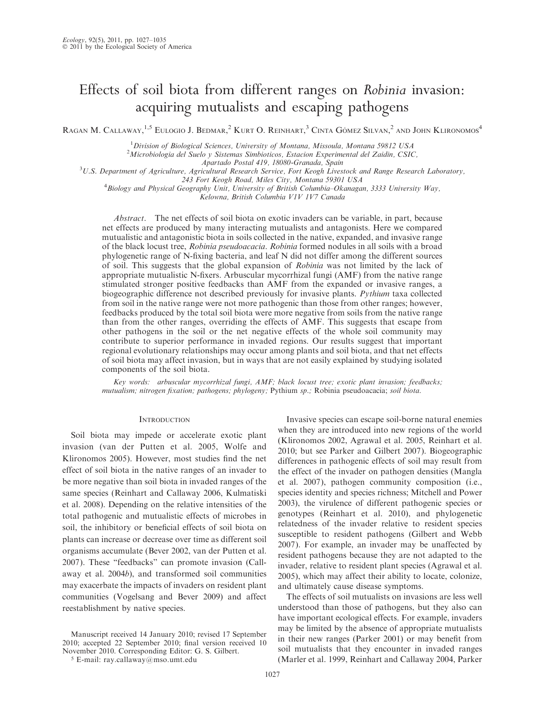# Effects of soil biota from different ranges on Robinia invasion: acquiring mutualists and escaping pathogens

RAGAN M. CALLAWAY, <sup>1,5</sup> EULOGIO J. BEDMAR, <sup>2</sup> KURT O. REINHART, <sup>3</sup> CINTA GÓMEZ SILVAN, <sup>2</sup> AND JOHN KLIRONOMOS<sup>4</sup>

<sup>1</sup> Division of Biological Sciences, University of Montana, Missoula, Montana 59812 USA<br><sup>2</sup> Microbiologia del Suelo y Sistemas Simbioticos, Estacion Experimental del Zaidin, CSIG

 ${}^{2}$ Microbiologia del Suelo y Sistemas Simbioticos, Estacion Experimental del Zaidin, CSIC,<br>Apartado Postal 419, 18080-Granada, Spain

Apartado Postal 419, 18080-Granada, Spain<br><sup>3</sup>U.S. Department of Agriculture, Agricultural Research Service, Fort Keogh Livestock and Range Research Laboratory,

243 Fort Keogh Road, Miles City, Montana 59301 USA <sup>4</sup> Biology and Physical Geography Unit, University of British Columbia–Okanagan, 3333 University Way,

Kelowna, British Columbia V1V 1V7 Canada

Abstract. The net effects of soil biota on exotic invaders can be variable, in part, because net effects are produced by many interacting mutualists and antagonists. Here we compared mutualistic and antagonistic biota in soils collected in the native, expanded, and invasive range of the black locust tree, Robinia pseudoacacia. Robinia formed nodules in all soils with a broad phylogenetic range of N-fixing bacteria, and leaf N did not differ among the different sources of soil. This suggests that the global expansion of *Robinia* was not limited by the lack of appropriate mutualistic N-fixers. Arbuscular mycorrhizal fungi (AMF) from the native range stimulated stronger positive feedbacks than AMF from the expanded or invasive ranges, a biogeographic difference not described previously for invasive plants. *Pythium* taxa collected from soil in the native range were not more pathogenic than those from other ranges; however, feedbacks produced by the total soil biota were more negative from soils from the native range than from the other ranges, overriding the effects of AMF. This suggests that escape from other pathogens in the soil or the net negative effects of the whole soil community may contribute to superior performance in invaded regions. Our results suggest that important regional evolutionary relationships may occur among plants and soil biota, and that net effects of soil biota may affect invasion, but in ways that are not easily explained by studying isolated components of the soil biota.

Key words: arbuscular mycorrhizal fungi, AMF; black locust tree; exotic plant invasion; feedbacks; mutualism; nitrogen fixation; pathogens; phylogeny; Pythium sp.; Robinia pseudoacacia; soil biota.

#### **INTRODUCTION**

Soil biota may impede or accelerate exotic plant invasion (van der Putten et al. 2005, Wolfe and Klironomos 2005). However, most studies find the net effect of soil biota in the native ranges of an invader to be more negative than soil biota in invaded ranges of the same species (Reinhart and Callaway 2006, Kulmatiski et al. 2008). Depending on the relative intensities of the total pathogenic and mutualistic effects of microbes in soil, the inhibitory or beneficial effects of soil biota on plants can increase or decrease over time as different soil organisms accumulate (Bever 2002, van der Putten et al. 2007). These ''feedbacks'' can promote invasion (Callaway et al. 2004b), and transformed soil communities may exacerbate the impacts of invaders on resident plant communities (Vogelsang and Bever 2009) and affect reestablishment by native species.

Manuscript received 14 January 2010; revised 17 September 2010; accepted 22 September 2010; final version received 10 November 2010. Corresponding Editor: G. S. Gilbert.

<sup>5</sup> E-mail: ray.callaway@mso.umt.edu

Invasive species can escape soil-borne natural enemies when they are introduced into new regions of the world (Klironomos 2002, Agrawal et al. 2005, Reinhart et al. 2010; but see Parker and Gilbert 2007). Biogeographic differences in pathogenic effects of soil may result from the effect of the invader on pathogen densities (Mangla et al. 2007), pathogen community composition (i.e., species identity and species richness; Mitchell and Power 2003), the virulence of different pathogenic species or genotypes (Reinhart et al. 2010), and phylogenetic relatedness of the invader relative to resident species susceptible to resident pathogens (Gilbert and Webb 2007). For example, an invader may be unaffected by resident pathogens because they are not adapted to the invader, relative to resident plant species (Agrawal et al. 2005), which may affect their ability to locate, colonize, and ultimately cause disease symptoms.

The effects of soil mutualists on invasions are less well understood than those of pathogens, but they also can have important ecological effects. For example, invaders may be limited by the absence of appropriate mutualists in their new ranges (Parker 2001) or may benefit from soil mutualists that they encounter in invaded ranges (Marler et al. 1999, Reinhart and Callaway 2004, Parker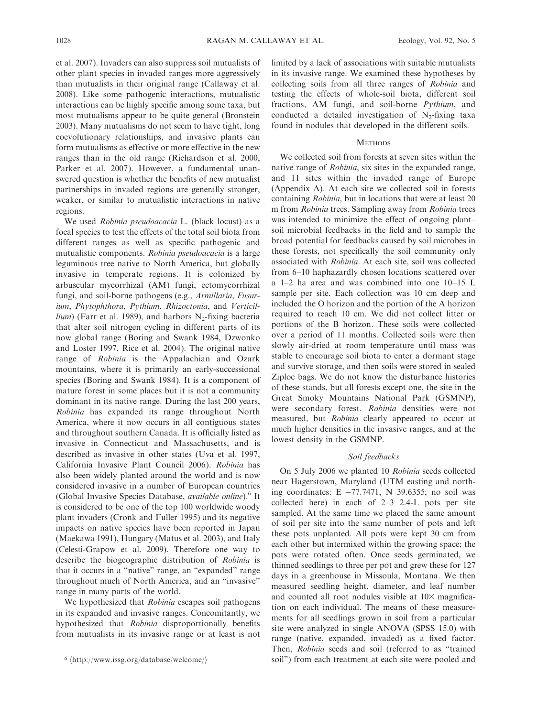et al. 2007). Invaders can also suppress soil mutualists of other plant species in invaded ranges more aggressively than mutualists in their original range (Callaway et al. 2008). Like some pathogenic interactions, mutualistic interactions can be highly specific among some taxa, but most mutualisms appear to be quite general (Bronstein 2003). Many mutualisms do not seem to have tight, long coevolutionary relationships, and invasive plants can form mutualisms as effective or more effective in the new ranges than in the old range (Richardson et al. 2000, Parker et al. 2007). However, a fundamental unanswered question is whether the benefits of new mutualist partnerships in invaded regions are generally stronger, weaker, or similar to mutualistic interactions in native regions.

We used Robinia pseudoacacia L. (black locust) as a focal species to test the effects of the total soil biota from different ranges as well as specific pathogenic and mutualistic components. Robinia pseudoacacia is a large leguminous tree native to North America, but globally invasive in temperate regions. It is colonized by arbuscular mycorrhizal (AM) fungi, ectomycorrhizal fungi, and soil-borne pathogens (e.g., Armillaria, Fusarium, Phytophthora, Pythium, Rhizoctonia, and Verticillium) (Farr et al. 1989), and harbors  $N_2$ -fixing bacteria that alter soil nitrogen cycling in different parts of its now global range (Boring and Swank 1984, Dzwonko and Loster 1997, Rice et al. 2004). The original native range of Robinia is the Appalachian and Ozark mountains, where it is primarily an early-successional species (Boring and Swank 1984). It is a component of mature forest in some places but it is not a community dominant in its native range. During the last 200 years, Robinia has expanded its range throughout North America, where it now occurs in all contiguous states and throughout southern Canada. It is officially listed as invasive in Connecticut and Massachusetts, and is described as invasive in other states (Uva et al. 1997, California Invasive Plant Council 2006). Robinia has also been widely planted around the world and is now considered invasive in a number of European countries (Global Invasive Species Database, *available online*).<sup>6</sup> It is considered to be one of the top 100 worldwide woody plant invaders (Cronk and Fuller 1995) and its negative impacts on native species have been reported in Japan (Maekawa 1991), Hungary (Matus et al. 2003), and Italy (Celesti-Grapow et al. 2009). Therefore one way to describe the biogeographic distribution of Robinia is that it occurs in a ''native'' range, an ''expanded'' range throughout much of North America, and an ''invasive'' range in many parts of the world.

We hypothesized that Robinia escapes soil pathogens in its expanded and invasive ranges. Concomitantly, we hypothesized that Robinia disproportionally benefits from mutualists in its invasive range or at least is not

limited by a lack of associations with suitable mutualists in its invasive range. We examined these hypotheses by collecting soils from all three ranges of Robinia and testing the effects of whole-soil biota, different soil fractions, AM fungi, and soil-borne Pythium, and conducted a detailed investigation of  $N_2$ -fixing taxa found in nodules that developed in the different soils.

#### **METHODS**

We collected soil from forests at seven sites within the native range of Robinia, six sites in the expanded range, and 11 sites within the invaded range of Europe (Appendix A). At each site we collected soil in forests containing Robinia, but in locations that were at least 20 m from Robinia trees. Sampling away from Robinia trees was intended to minimize the effect of ongoing plant– soil microbial feedbacks in the field and to sample the broad potential for feedbacks caused by soil microbes in these forests, not specifically the soil community only associated with Robinia. At each site, soil was collected from 6–10 haphazardly chosen locations scattered over a 1–2 ha area and was combined into one 10–15 L sample per site. Each collection was 10 cm deep and included the O horizon and the portion of the A horizon required to reach 10 cm. We did not collect litter or portions of the B horizon. These soils were collected over a period of 11 months. Collected soils were then slowly air-dried at room temperature until mass was stable to encourage soil biota to enter a dormant stage and survive storage, and then soils were stored in sealed Ziploc bags. We do not know the disturbance histories of these stands, but all forests except one, the site in the Great Smoky Mountains National Park (GSMNP), were secondary forest. Robinia densities were not measured, but Robinia clearly appeared to occur at much higher densities in the invasive ranges, and at the lowest density in the GSMNP.

#### Soil feedbacks

On 5 July 2006 we planted 10 Robinia seeds collected near Hagerstown, Maryland (UTM easting and northing coordinates:  $E = -77.7471$ , N 39.6355; no soil was collected here) in each of 2–3 2.4-L pots per site sampled. At the same time we placed the same amount of soil per site into the same number of pots and left these pots unplanted. All pots were kept 30 cm from each other but intermixed within the growing space; the pots were rotated often. Once seeds germinated, we thinned seedlings to three per pot and grew these for 127 days in a greenhouse in Missoula, Montana. We then measured seedling height, diameter, and leaf number and counted all root nodules visible at  $10\times$  magnification on each individual. The means of these measurements for all seedlings grown in soil from a particular site were analyzed in single ANOVA (SPSS 15.0) with range (native, expanded, invaded) as a fixed factor. Then, Robinia seeds and soil (referred to as ''trained  $6$  (http://www.issg.org/database/welcome/) soil'') from each treatment at each site were pooled and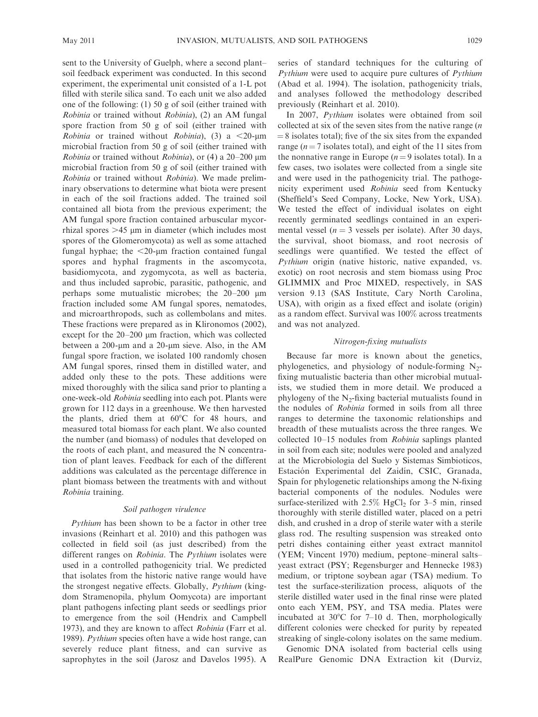sent to the University of Guelph, where a second plant– soil feedback experiment was conducted. In this second experiment, the experimental unit consisted of a 1-L pot filled with sterile silica sand. To each unit we also added one of the following: (1) 50 g of soil (either trained with Robinia or trained without Robinia), (2) an AM fungal spore fraction from 50 g of soil (either trained with *Robinia* or trained without *Robinia*), (3) a  $\leq$ 20-µm microbial fraction from 50 g of soil (either trained with *Robinia* or trained without *Robinia*), or  $(4)$  a 20–200  $\mu$ m microbial fraction from 50 g of soil (either trained with Robinia or trained without Robinia). We made preliminary observations to determine what biota were present in each of the soil fractions added. The trained soil contained all biota from the previous experiment; the AM fungal spore fraction contained arbuscular mycorrhizal spores  $>45 \mu m$  in diameter (which includes most spores of the Glomeromycota) as well as some attached fungal hyphae; the  $<$ 20- $\mu$ m fraction contained fungal spores and hyphal fragments in the ascomycota, basidiomycota, and zygomycota, as well as bacteria, and thus included saprobic, parasitic, pathogenic, and perhaps some mutualistic microbes; the  $20-200 \mu m$ fraction included some AM fungal spores, nematodes, and microarthropods, such as collembolans and mites. These fractions were prepared as in Klironomos (2002), except for the  $20-200$  µm fraction, which was collected between a  $200$ -µm and a  $20$ -µm sieve. Also, in the AM fungal spore fraction, we isolated 100 randomly chosen AM fungal spores, rinsed them in distilled water, and added only these to the pots. These additions were mixed thoroughly with the silica sand prior to planting a one-week-old Robinia seedling into each pot. Plants were grown for 112 days in a greenhouse. We then harvested the plants, dried them at  $60^{\circ}$ C for 48 hours, and measured total biomass for each plant. We also counted the number (and biomass) of nodules that developed on the roots of each plant, and measured the N concentration of plant leaves. Feedback for each of the different additions was calculated as the percentage difference in plant biomass between the treatments with and without Robinia training.

#### Soil pathogen virulence

Pythium has been shown to be a factor in other tree invasions (Reinhart et al. 2010) and this pathogen was collected in field soil (as just described) from the different ranges on Robinia. The Pythium isolates were used in a controlled pathogenicity trial. We predicted that isolates from the historic native range would have the strongest negative effects. Globally, Pythium (kingdom Stramenopila, phylum Oomycota) are important plant pathogens infecting plant seeds or seedlings prior to emergence from the soil (Hendrix and Campbell 1973), and they are known to affect Robinia (Farr et al. 1989). Pythium species often have a wide host range, can severely reduce plant fitness, and can survive as saprophytes in the soil (Jarosz and Davelos 1995). A series of standard techniques for the culturing of Pythium were used to acquire pure cultures of Pythium (Abad et al. 1994). The isolation, pathogenicity trials, and analyses followed the methodology described previously (Reinhart et al. 2010).

In 2007, Pythium isolates were obtained from soil collected at six of the seven sites from the native range  $(n)$  $= 8$  isolates total); five of the six sites from the expanded range ( $n = 7$  isolates total), and eight of the 11 sites from the nonnative range in Europe ( $n = 9$  isolates total). In a few cases, two isolates were collected from a single site and were used in the pathogenicity trial. The pathogenicity experiment used Robinia seed from Kentucky (Sheffield's Seed Company, Locke, New York, USA). We tested the effect of individual isolates on eight recently germinated seedlings contained in an experimental vessel ( $n = 3$  vessels per isolate). After 30 days, the survival, shoot biomass, and root necrosis of seedlings were quantified. We tested the effect of Pythium origin (native historic, native expanded, vs. exotic) on root necrosis and stem biomass using Proc GLIMMIX and Proc MIXED, respectively, in SAS version 9.13 (SAS Institute, Cary North Carolina, USA), with origin as a fixed effect and isolate (origin) as a random effect. Survival was 100% across treatments and was not analyzed.

#### Nitrogen-fixing mutualists

Because far more is known about the genetics, phylogenetics, and physiology of nodule-forming  $N_2$ fixing mutualistic bacteria than other microbial mutualists, we studied them in more detail. We produced a phylogeny of the  $N_2$ -fixing bacterial mutualists found in the nodules of Robinia formed in soils from all three ranges to determine the taxonomic relationships and breadth of these mutualists across the three ranges. We collected 10–15 nodules from Robinia saplings planted in soil from each site; nodules were pooled and analyzed at the Microbiologia del Suelo y Sistemas Simbioticos, Estación Experimental del Zaidín, CSIC, Granada, Spain for phylogenetic relationships among the N-fixing bacterial components of the nodules. Nodules were surface-sterilized with  $2.5\%$  HgCl<sub>2</sub> for 3–5 min, rinsed thoroughly with sterile distilled water, placed on a petri dish, and crushed in a drop of sterile water with a sterile glass rod. The resulting suspension was streaked onto petri dishes containing either yeast extract mannitol (YEM; Vincent 1970) medium, peptone–mineral salts– yeast extract (PSY; Regensburger and Hennecke 1983) medium, or triptone soybean agar (TSA) medium. To test the surface-sterilization process, aliquots of the sterile distilled water used in the final rinse were plated onto each YEM, PSY, and TSA media. Plates were incubated at  $30^{\circ}$ C for 7–10 d. Then, morphologically different colonies were checked for purity by repeated streaking of single-colony isolates on the same medium.

Genomic DNA isolated from bacterial cells using RealPure Genomic DNA Extraction kit (Durviz,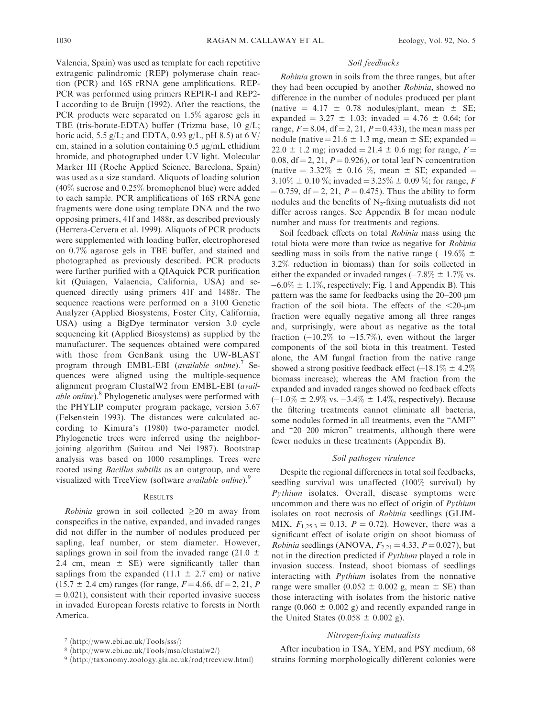Valencia, Spain) was used as template for each repetitive extragenic palindromic (REP) polymerase chain reaction (PCR) and 16S rRNA gene amplifications. REP-PCR was performed using primers REPIR-I and REP2- I according to de Bruijn (1992). After the reactions, the PCR products were separated on 1.5% agarose gels in TBE (tris-borate-EDTA) buffer (Trizma base, 10 g/L; boric acid, 5.5 g/L; and EDTA, 0.93 g/L, pH 8.5) at 6 V/ cm, stained in a solution containing  $0.5 \mu g/mL$  ethidium bromide, and photographed under UV light. Molecular Marker III (Roche Applied Science, Barcelona, Spain) was used as a size standard. Aliquots of loading solution (40% sucrose and 0.25% bromophenol blue) were added to each sample. PCR amplifications of 16S rRNA gene fragments were done using template DNA and the two opposing primers, 41f and 1488r, as described previously (Herrera-Cervera et al. 1999). Aliquots of PCR products were supplemented with loading buffer, electrophoresed on 0.7% agarose gels in TBE buffer, and stained and photographed as previously described. PCR products were further purified with a QIAquick PCR purification kit (Quiagen, Valaencia, California, USA) and sequenced directly using primers 41f and 1488r. The sequence reactions were performed on a 3100 Genetic Analyzer (Applied Biosystems, Foster City, California, USA) using a BigDye terminator version 3.0 cycle sequencing kit (Applied Biosystems) as supplied by the manufacturer. The sequences obtained were compared with those from GenBank using the UW-BLAST program through EMBL-EBI (available online).<sup>7</sup> Sequences were aligned using the multiple-sequence alignment program ClustalW2 from EMBL-EBI (avail*able online*).<sup>8</sup> Phylogenetic analyses were performed with the PHYLIP computer program package, version 3.67 (Felsenstein 1993). The distances were calculated according to Kimura's (1980) two-parameter model. Phylogenetic trees were inferred using the neighborjoining algorithm (Saitou and Nei 1987). Bootstrap analysis was based on 1000 resamplings. Trees were rooted using Bacillus subtilis as an outgroup, and were visualized with TreeView (software *available online*).<sup>9</sup>

#### **RESULTS**

*Robinia* grown in soil collected  $>20$  m away from conspecifics in the native, expanded, and invaded ranges did not differ in the number of nodules produced per sapling, leaf number, or stem diameter. However, saplings grown in soil from the invaded range (21.0  $\pm$ 2.4 cm, mean  $\pm$  SE) were significantly taller than saplings from the expanded (11.1  $\pm$  2.7 cm) or native  $(15.7 \pm 2.4 \text{ cm})$  ranges (for range,  $F = 4.66$ , df = 2, 21, P  $= 0.021$ ), consistent with their reported invasive success in invaded European forests relative to forests in North America.

#### Soil feedbacks

Robinia grown in soils from the three ranges, but after they had been occupied by another Robinia, showed no difference in the number of nodules produced per plant (native  $= 4.17 \pm 0.78$  nodules/plant, mean  $\pm$  SE; expanded =  $3.27 \pm 1.03$ ; invaded =  $4.76 \pm 0.64$ ; for range,  $F = 8.04$ , df = 2, 21,  $P = 0.433$ ), the mean mass per nodule (native =  $21.6 \pm 1.3$  mg, mean  $\pm$  SE; expanded = 22.0  $\pm$  1.2 mg; invaded = 21.4  $\pm$  0.6 mg; for range, F= 0.08,  $df = 2$ , 21,  $P = 0.926$ ), or total leaf N concentration (native  $= 3.32\% \pm 0.16\%$ , mean  $\pm$  SE; expanded  $=$ 3.10%  $\pm$  0.10 %; invaded = 3.25%  $\pm$  0.09 %; for range, F  $= 0.759$ , df  $= 2, 21, P = 0.475$ ). Thus the ability to form nodules and the benefits of  $N_2$ -fixing mutualists did not differ across ranges. See Appendix B for mean nodule number and mass for treatments and regions.

Soil feedback effects on total Robinia mass using the total biota were more than twice as negative for Robinia seedling mass in soils from the native range  $(-19.6\% \pm$ 3.2% reduction in biomass) than for soils collected in either the expanded or invaded ranges  $(-7.8\% \pm 1.7\% \text{ vs.})$  $-6.0\% \pm 1.1\%$ , respectively; Fig. 1 and Appendix B). This pattern was the same for feedbacks using the  $20-200 \mu m$ fraction of the soil biota. The effects of the  $\leq$ 20- $\mu$ m fraction were equally negative among all three ranges and, surprisingly, were about as negative as the total fraction  $(-10.2\%$  to  $-15.7\%)$ , even without the larger components of the soil biota in this treatment. Tested alone, the AM fungal fraction from the native range showed a strong positive feedback effect (+18.1%  $\pm$  4.2% biomass increase); whereas the AM fraction from the expanded and invaded ranges showed no feedback effects  $(-1.0\% \pm 2.9\% \text{ vs. } -3.4\% \pm 1.4\%,$  respectively). Because the filtering treatments cannot eliminate all bacteria, some nodules formed in all treatments, even the ''AMF'' and ''20–200 micron'' treatments, although there were fewer nodules in these treatments (Appendix B).

#### Soil pathogen virulence

Despite the regional differences in total soil feedbacks, seedling survival was unaffected (100% survival) by Pythium isolates. Overall, disease symptoms were uncommon and there was no effect of origin of Pythium isolates on root necrosis of Robinia seedlings (GLIM-MIX,  $F_{1,25,3} = 0.13$ ,  $P = 0.72$ ). However, there was a significant effect of isolate origin on shoot biomass of *Robinia* seedlings (ANOVA,  $F_{2,21} = 4.33$ ,  $P = 0.027$ ), but not in the direction predicted if Pythium played a role in invasion success. Instead, shoot biomass of seedlings interacting with Pythium isolates from the nonnative range were smaller (0.052  $\pm$  0.002 g, mean  $\pm$  SE) than those interacting with isolates from the historic native range (0.060  $\pm$  0.002 g) and recently expanded range in the United States (0.058  $\pm$  0.002 g).

#### Nitrogen-fixing mutualists

After incubation in TSA, YEM, and PSY medium, 68 strains forming morphologically different colonies were

<sup>7</sup> hhttp://www.ebi.ac.uk/Tools/sss/i

 $8 \langle \frac{h}{t} \cdot \frac{h}{t} \cdot \frac{h}{t} \cdot \frac{h}{t} \cdot \frac{h}{t} \cdot \frac{h}{t} \cdot \frac{h}{t} \cdot \frac{h}{t} \cdot \frac{h}{t} \cdot \frac{h}{t} \cdot \frac{h}{t} \cdot \frac{h}{t} \cdot \frac{h}{t} \cdot \frac{h}{t} \cdot \frac{h}{t} \cdot \frac{h}{t} \cdot \frac{h}{t} \cdot \frac{h}{t} \cdot \frac{h}{t} \cdot \frac{h}{t} \cdot \frac{h}{t} \cdot \frac{h}{t} \cdot \frac{h}{t} \cdot \frac{h}{t} \cdot \$ 

<sup>9 (</sup>http://taxonomy.zoology.gla.ac.uk/rod/treeview.html)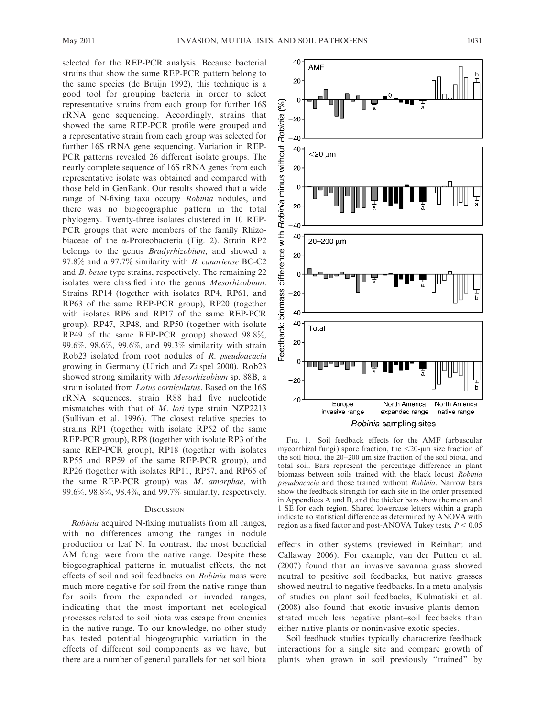selected for the REP-PCR analysis. Because bacterial strains that show the same REP-PCR pattern belong to the same species (de Bruijn 1992), this technique is a good tool for grouping bacteria in order to select representative strains from each group for further 16S rRNA gene sequencing. Accordingly, strains that showed the same REP-PCR profile were grouped and a representative strain from each group was selected for further 16S rRNA gene sequencing. Variation in REP-PCR patterns revealed 26 different isolate groups. The nearly complete sequence of 16S rRNA genes from each representative isolate was obtained and compared with those held in GenBank. Our results showed that a wide range of N-fixing taxa occupy Robinia nodules, and there was no biogeographic pattern in the total phylogeny. Twenty-three isolates clustered in 10 REP-PCR groups that were members of the family Rhizobiaceae of the a-Proteobacteria (Fig. 2). Strain RP2 belongs to the genus *Bradyrhizobium*, and showed a 97.8% and a 97.7% similarity with B. canariense BC-C2 and B. betae type strains, respectively. The remaining 22 isolates were classified into the genus Mesorhizobium. Strains RP14 (together with isolates RP4, RP61, and RP63 of the same REP-PCR group), RP20 (together with isolates RP6 and RP17 of the same REP-PCR group), RP47, RP48, and RP50 (together with isolate RP49 of the same REP-PCR group) showed 98.8%, 99.6%, 98.6%, 99.6%, and 99.3% similarity with strain Rob23 isolated from root nodules of R. pseudoacacia growing in Germany (Ulrich and Zaspel 2000). Rob23 showed strong similarity with Mesorhizobium sp. 88B, a strain isolated from Lotus corniculatus. Based on the 16S rRNA sequences, strain R88 had five nucleotide mismatches with that of M. loti type strain NZP2213 (Sullivan et al. 1996). The closest relative species to strains RP1 (together with isolate RP52 of the same REP-PCR group), RP8 (together with isolate RP3 of the same REP-PCR group), RP18 (together with isolates RP55 and RP59 of the same REP-PCR group), and RP26 (together with isolates RP11, RP57, and RP65 of the same REP-PCR group) was  $M$ . amorphae, with 99.6%, 98.8%, 98.4%, and 99.7% similarity, respectively.

#### **DISCUSSION**

Robinia acquired N-fixing mutualists from all ranges, with no differences among the ranges in nodule production or leaf N. In contrast, the most beneficial AM fungi were from the native range. Despite these biogeographical patterns in mutualist effects, the net effects of soil and soil feedbacks on Robinia mass were much more negative for soil from the native range than for soils from the expanded or invaded ranges, indicating that the most important net ecological processes related to soil biota was escape from enemies in the native range. To our knowledge, no other study has tested potential biogeographic variation in the effects of different soil components as we have, but there are a number of general parallels for net soil biota



FIG. 1. Soil feedback effects for the AMF (arbuscular mycorrhizal fungi) spore fraction, the  $<$ 20- $\mu$ m size fraction of the soil biota, the  $20-200 \mu m$  size fraction of the soil biota, and total soil. Bars represent the percentage difference in plant biomass between soils trained with the black locust Robinia pseudoacacia and those trained without Robinia. Narrow bars show the feedback strength for each site in the order presented in Appendices A and B, and the thicker bars show the mean and 1 SE for each region. Shared lowercase letters within a graph indicate no statistical difference as determined by ANOVA with region as a fixed factor and post-ANOVA Tukey tests,  $P < 0.05$ 

effects in other systems (reviewed in Reinhart and Callaway 2006). For example, van der Putten et al. (2007) found that an invasive savanna grass showed neutral to positive soil feedbacks, but native grasses showed neutral to negative feedbacks. In a meta-analysis of studies on plant–soil feedbacks, Kulmatiski et al. (2008) also found that exotic invasive plants demonstrated much less negative plant–soil feedbacks than either native plants or noninvasive exotic species.

Soil feedback studies typically characterize feedback interactions for a single site and compare growth of plants when grown in soil previously ''trained'' by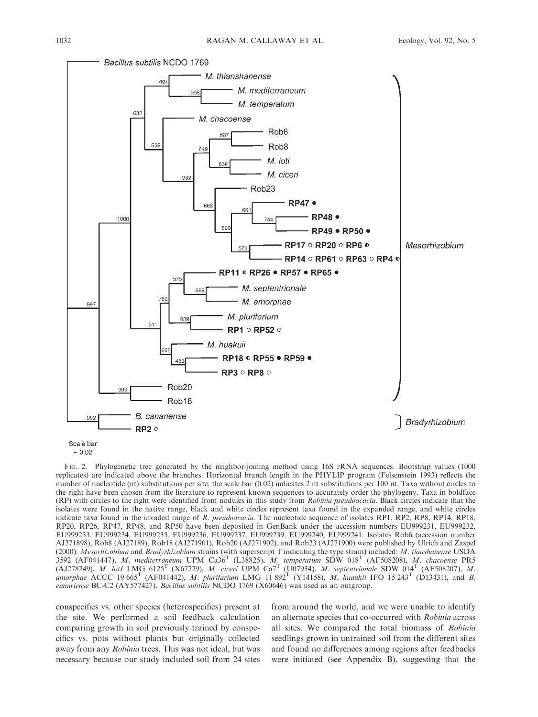

 $-0.02$ 

FIG. 2. Phylogenetic tree generated by the neighbor-joining method using 16S rRNA sequences. Bootstrap values (1000) replicates) are indicated above the branches. Horizontal branch length in the PHYLIP program (Felsenstein 1993) reflects the number of nucleotide (nt) substitutions per site; the scale bar (0.02) indicates 2 nt substitutions per 100 nt. Taxa without circles to the right have been chosen from the literature to represent known sequences to accurately order the phylogeny. Taxa in boldface (RP) with circles to the right were identified from nodules in this study from *Robinia pseudoacacia*. Black circles indicate that the isolates were found in the native range, black and white circles represent taxa found in the expanded range, and white circles indicate taxa found in the invaded range of R. pseudoacacia. The nucleotide sequence of isolates RP1, RP2, RP8, RP14, RP18, RP20, RP26, RP47, RP48, and RP50 have been deposited in GenBank under the accession numbers EU999231, EU999232, EU999233, EU999234, EU999235, EU999236, EU999237, EU999239, EU999240, EU999241. Isolates Rob6 (accession number AJ271898), Rob8 (AJ27189), Rob18 (AJ271901), Rob20 (AJ271902), and Rob23 (AJ271900) were published by Ulrich and Zaspel (2000). Mesorhizobium and Bradyrhizobium strains (with superscript T indicating the type strain) included: M. tianshanense USDA  $3592$  (AF041447), M. mediterraneum UPM Ca36<sup>T</sup> (L38825), M. temperatum SDW 018<sup>T</sup> (AF508208), M. chacoense PR5 (AJ278249), M. lotI LMG 6125<sup>T</sup> (X67229), M. ciceri UPM Ca7<sup>T</sup> (U07934), M. septentrionale SDW 014<sup>T</sup> (AF508207), M. amorphae ACCC 19 665<sup>T</sup> (AF041442), M. plurifarium LMG 11 892<sup>T</sup> (Y14158), M. huaukii IFO 15 243<sup>T</sup> (D13431), and B. canariense BC-C2 (AY577427). Bacillus subtilis NCDO 1769 (X60646) was used as an outgroup.

conspecifics vs. other species (heterospecifics) present at the site. We performed a soil feedback calculation comparing growth in soil previously trained by conspecifics vs. pots without plants but originally collected away from any Robinia trees. This was not ideal, but was necessary because our study included soil from 24 sites

from around the world, and we were unable to identify an alternate species that co-occurred with Robinia across all sites. We compared the total biomass of Robinia seedlings grown in untrained soil from the different sites and found no differences among regions after feedbacks were initiated (see Appendix B), suggesting that the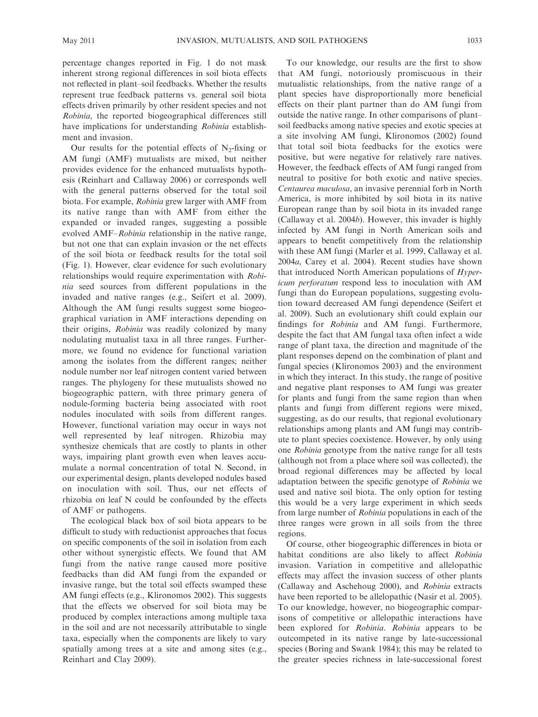percentage changes reported in Fig. 1 do not mask inherent strong regional differences in soil biota effects not reflected in plant–soil feedbacks. Whether the results represent true feedback patterns vs. general soil biota effects driven primarily by other resident species and not Robinia, the reported biogeographical differences still have implications for understanding Robinia establishment and invasion.

Our results for the potential effects of  $N_2$ -fixing or AM fungi (AMF) mutualists are mixed, but neither provides evidence for the enhanced mutualists hypothesis (Reinhart and Callaway 2006) or corresponds well with the general patterns observed for the total soil biota. For example, Robinia grew larger with AMF from its native range than with AMF from either the expanded or invaded ranges, suggesting a possible evolved AMF–Robinia relationship in the native range, but not one that can explain invasion or the net effects of the soil biota or feedback results for the total soil (Fig. 1). However, clear evidence for such evolutionary relationships would require experimentation with Robinia seed sources from different populations in the invaded and native ranges (e.g., Seifert et al. 2009). Although the AM fungi results suggest some biogeographical variation in AMF interactions depending on their origins, Robinia was readily colonized by many nodulating mutualist taxa in all three ranges. Furthermore, we found no evidence for functional variation among the isolates from the different ranges; neither nodule number nor leaf nitrogen content varied between ranges. The phylogeny for these mutualists showed no biogeographic pattern, with three primary genera of nodule-forming bacteria being associated with root nodules inoculated with soils from different ranges. However, functional variation may occur in ways not well represented by leaf nitrogen. Rhizobia may synthesize chemicals that are costly to plants in other ways, impairing plant growth even when leaves accumulate a normal concentration of total N. Second, in our experimental design, plants developed nodules based on inoculation with soil. Thus, our net effects of rhizobia on leaf N could be confounded by the effects of AMF or pathogens.

The ecological black box of soil biota appears to be difficult to study with reductionist approaches that focus on specific components of the soil in isolation from each other without synergistic effects. We found that AM fungi from the native range caused more positive feedbacks than did AM fungi from the expanded or invasive range, but the total soil effects swamped these AM fungi effects (e.g., Klironomos 2002). This suggests that the effects we observed for soil biota may be produced by complex interactions among multiple taxa in the soil and are not necessarily attributable to single taxa, especially when the components are likely to vary spatially among trees at a site and among sites (e.g., Reinhart and Clay 2009).

To our knowledge, our results are the first to show that AM fungi, notoriously promiscuous in their mutualistic relationships, from the native range of a plant species have disproportionally more beneficial effects on their plant partner than do AM fungi from outside the native range. In other comparisons of plant– soil feedbacks among native species and exotic species at a site involving AM fungi, Klironomos (2002) found that total soil biota feedbacks for the exotics were positive, but were negative for relatively rare natives. However, the feedback effects of AM fungi ranged from neutral to positive for both exotic and native species. Centaurea maculosa, an invasive perennial forb in North America, is more inhibited by soil biota in its native European range than by soil biota in its invaded range (Callaway et al. 2004b). However, this invader is highly infected by AM fungi in North American soils and appears to benefit competitively from the relationship with these AM fungi (Marler et al. 1999, Callaway et al. 2004a, Carey et al. 2004). Recent studies have shown that introduced North American populations of Hypericum perforatum respond less to inoculation with AM fungi than do European populations, suggesting evolution toward decreased AM fungi dependence (Seifert et al. 2009). Such an evolutionary shift could explain our findings for Robinia and AM fungi. Furthermore, despite the fact that AM fungal taxa often infect a wide range of plant taxa, the direction and magnitude of the plant responses depend on the combination of plant and fungal species (Klironomos 2003) and the environment in which they interact. In this study, the range of positive and negative plant responses to AM fungi was greater for plants and fungi from the same region than when plants and fungi from different regions were mixed, suggesting, as do our results, that regional evolutionary relationships among plants and AM fungi may contribute to plant species coexistence. However, by only using one Robinia genotype from the native range for all tests (although not from a place where soil was collected), the broad regional differences may be affected by local adaptation between the specific genotype of Robinia we used and native soil biota. The only option for testing this would be a very large experiment in which seeds from large number of Robinia populations in each of the three ranges were grown in all soils from the three regions.

Of course, other biogeographic differences in biota or habitat conditions are also likely to affect Robinia invasion. Variation in competitive and allelopathic effects may affect the invasion success of other plants (Callaway and Aschehoug 2000), and Robinia extracts have been reported to be allelopathic (Nasir et al. 2005). To our knowledge, however, no biogeographic comparisons of competitive or allelopathic interactions have been explored for Robinia. Robinia appears to be outcompeted in its native range by late-successional species (Boring and Swank 1984); this may be related to the greater species richness in late-successional forest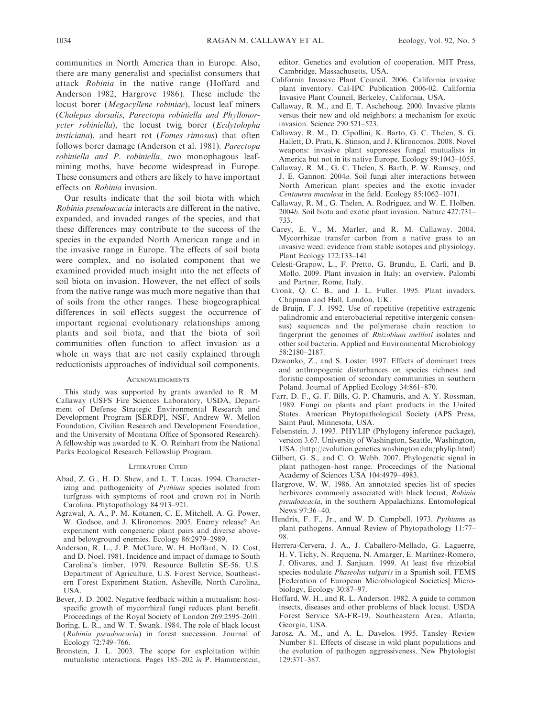communities in North America than in Europe. Also, there are many generalist and specialist consumers that attack Robinia in the native range (Hoffard and Anderson 1982, Hargrove 1986). These include the locust borer (Megacyllene robiniae), locust leaf miners (Chalepus dorsalis, Parectopa robiniella and Phyllonorycter robiniella), the locust twig borer (Ecdytolopha insticiana), and heart rot (Fomes rimosus) that often follows borer damage (Anderson et al. 1981). Parectopa robiniella and P. robiniella, two monophagous leafmining moths, have become widespread in Europe. These consumers and others are likely to have important effects on Robinia invasion.

Our results indicate that the soil biota with which Robinia pseudoacacia interacts are different in the native, expanded, and invaded ranges of the species, and that these differences may contribute to the success of the species in the expanded North American range and in the invasive range in Europe. The effects of soil biota were complex, and no isolated component that we examined provided much insight into the net effects of soil biota on invasion. However, the net effect of soils from the native range was much more negative than that of soils from the other ranges. These biogeographical differences in soil effects suggest the occurrence of important regional evolutionary relationships among plants and soil biota, and that the biota of soil communities often function to affect invasion as a whole in ways that are not easily explained through reductionists approaches of individual soil components.

#### **ACKNOWLEDGMENTS**

This study was supported by grants awarded to R. M. Callaway (USFS Fire Sciences Laboratory, USDA, Department of Defense Strategic Environmental Research and Development Program [SERDP], NSF, Andrew W. Mellon Foundation, Civilian Research and Development Foundation, and the University of Montana Office of Sponsored Research). A fellowship was awarded to K. O. Reinhart from the National Parks Ecological Research Fellowship Program.

#### LITERATURE CITED

- Abad, Z. G., H. D. Shew, and L. T. Lucas. 1994. Characterizing and pathogenicity of Pythium species isolated from turfgrass with symptoms of root and crown rot in North Carolina. Phytopathology 84:913–921.
- Agrawal, A. A., P. M. Kotanen, C. E. Mitchell, A. G. Power, W. Godsoe, and J. Klironomos. 2005. Enemy release? An experiment with congeneric plant pairs and diverse aboveand belowground enemies. Ecology 86:2979–2989.
- Anderson, R. L., J. P. McClure, W. H. Hoffard, N. D. Cost, and D. Noel. 1981. Incidence and impact of damage to South Carolina's timber, 1979. Resource Bulletin SE-56. U.S. Department of Agriculture, U.S. Forest Service, Southeastern Forest Experiment Station, Asheville, North Carolina, USA.
- Bever, J. D. 2002. Negative feedback within a mutualism: hostspecific growth of mycorrhizal fungi reduces plant benefit. Proceedings of the Royal Society of London 269:2595–2601.
- Boring, L. R., and W. T. Swank. 1984. The role of black locust (Robinia pseudoacacia) in forest succession. Journal of Ecology 72:749–766.
- Bronstein, J. L. 2003. The scope for exploitation within mutualistic interactions. Pages 185–202 in P. Hammerstein,

editor. Genetics and evolution of cooperation. MIT Press, Cambridge, Massachusetts, USA.

- California Invasive Plant Council. 2006. California invasive plant inventory. Cal-IPC Publication 2006-02. California Invasive Plant Council, Berkeley, California, USA.
- Callaway, R. M., and E. T. Aschehoug. 2000. Invasive plants versus their new and old neighbors: a mechanism for exotic invasion. Science 290:521–523.
- Callaway, R. M., D. Cipollini, K. Barto, G. C. Thelen, S. G. Hallett, D. Prati, K. Stinson, and J. Klironomos. 2008. Novel weapons: invasive plant suppresses fungal mutualists in America but not in its native Europe. Ecology 89:1043–1055.
- Callaway, R. M., G. C. Thelen, S. Barth, P. W. Ramsey, and J. E. Gannon. 2004a. Soil fungi alter interactions between North American plant species and the exotic invader Centaurea maculosa in the field. Ecology 85:1062–1071.
- Callaway, R. M., G. Thelen, A. Rodriguez, and W. E. Holben. 2004b. Soil biota and exotic plant invasion. Nature 427:731– 733.
- Carey, E. V., M. Marler, and R. M. Callaway. 2004. Mycorrhizae transfer carbon from a native grass to an invasive weed: evidence from stable isotopes and physiology. Plant Ecology 172:133–141
- Celesti-Grapow, L., F. Pretto, G. Brundu, E. Carli, and B. Mollo. 2009. Plant invasion in Italy: an overview. Palombi and Partner, Rome, Italy.
- Cronk, Q. C. B., and J. L. Fuller. 1995. Plant invaders. Chapman and Hall, London, UK.
- de Bruijn, F. J. 1992. Use of repetitive (repetitive extragenic palindromic and enterobacterial repetitive intergenic consensus) sequences and the polymerase chain reaction to fingerprint the genomes of Rhizobium meliloti isolates and other soil bacteria. Applied and Environmental Microbiology 58:2180–2187.
- Dzwonko, Z., and S. Loster. 1997. Effects of dominant trees and anthropogenic disturbances on species richness and floristic composition of secondary communities in southern Poland. Journal of Applied Ecology 34:861–870.
- Farr, D. F., G. F. Bills, G. P. Chamuris, and A. Y. Rossman. 1989. Fungi on plants and plant products in the United States. American Phytopathological Society (APS Press, Saint Paul, Minnesota, USA.
- Felsenstein, J. 1993. PHYLIP (Phylogeny inference package), version 3.67. University of Washington, Seattle, Washington, USA.  $\langle$ http://evolution.genetics.washington.edu/phylip.html $\rangle$
- Gilbert, G. S., and C. O. Webb. 2007. Phylogenetic signal in plant pathogen–host range. Proceedings of the National Academy of Sciences USA 104:4979–4983.
- Hargrove, W. W. 1986. An annotated species list of species herbivores commonly associated with black locust, Robinia pseudoacacia, in the southern Appalachians. Entomological News 97:36–40.
- Hendrix, F. F., Jr., and W. D. Campbell. 1973. Pythiums as plant pathogens. Annual Review of Phytopathology 11:77– 98.
- Herrera-Cervera, J. A., J. Caballero-Mellado, G. Laguerre, H. V. Tichy, N. Requena, N. Amarger, E. Martínez-Romero, J. Olivares, and J. Sanjuan. 1999. At least five rhizobial species nodulate Phaseolus vulgaris in a Spanish soil. FEMS [Federation of European Microbiological Societies] Microbiology, Ecology 30:87–97.
- Hoffard, W. H., and R. L. Anderson. 1982. A guide to common insects, diseases and other problems of black locust. USDA Forest Service SA-FR-19, Southeastern Area, Atlanta, Georgia, USA.
- Jarosz, A. M., and A. L. Davelos. 1995. Tansley Review Number 81. Effects of disease in wild plant populations and the evolution of pathogen aggressiveness. New Phytologist 129:371–387.